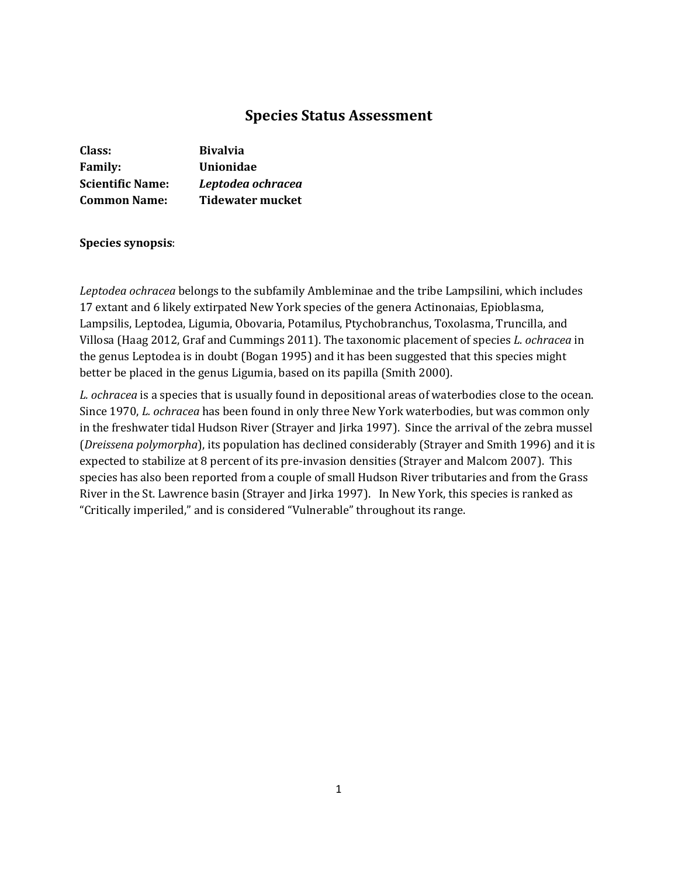# **Species Status Assessment**

| Class:                  | <b>Bivalvia</b>         |
|-------------------------|-------------------------|
| <b>Family:</b>          | <b>Unionidae</b>        |
| <b>Scientific Name:</b> | Leptodea ochracea       |
| <b>Common Name:</b>     | <b>Tidewater mucket</b> |

### **Species synopsis**:

*Leptodea ochracea* belongs to the subfamily Ambleminae and the tribe Lampsilini, which includes 17 extant and 6 likely extirpated New York species of the genera Actinonaias, Epioblasma, Lampsilis, Leptodea, Ligumia, Obovaria, Potamilus, Ptychobranchus, Toxolasma, Truncilla, and Villosa (Haag 2012, Graf and Cummings 2011). The taxonomic placement of species *L. ochracea* in the genus Leptodea is in doubt (Bogan 1995) and it has been suggested that this species might better be placed in the genus Ligumia, based on its papilla (Smith 2000).

*L. ochracea* is a species that is usually found in depositional areas of waterbodies close to the ocean. Since 1970, *L. ochracea* has been found in only three New York waterbodies, but was common only in the freshwater tidal Hudson River (Strayer and Jirka 1997). Since the arrival of the zebra mussel (*Dreissena polymorpha*), its population has declined considerably (Strayer and Smith 1996) and it is expected to stabilize at 8 percent of its pre-invasion densities (Strayer and Malcom 2007). This species has also been reported from a couple of small Hudson River tributaries and from the Grass River in the St. Lawrence basin (Strayer and Jirka 1997). In New York, this species is ranked as "Critically imperiled," and is considered "Vulnerable" throughout its range.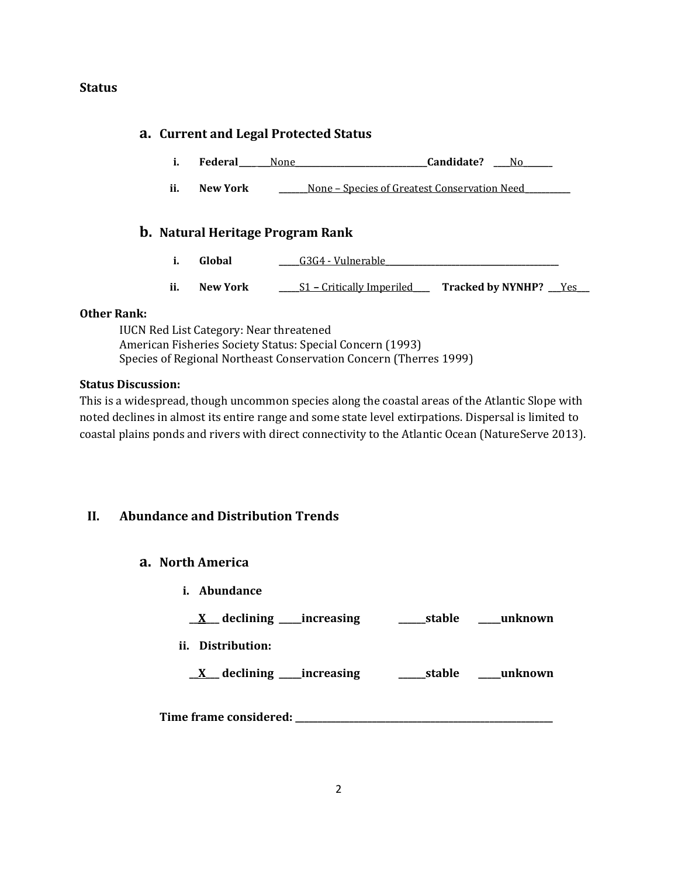### **Status**

### **a. Current and Legal Protected Status**

- **i. Federal None Candidate?** No
- **ii. New York \_\_\_\_\_\_\_**None Species of Greatest Conservation Need**\_\_\_\_\_\_\_\_\_\_\_**

### **b. Natural Heritage Program Rank**

- **i. Global a G3G4 Vulnerable**
- **ii. New York \_\_\_\_\_**S1 **–** Critically Imperiled**\_\_\_\_ Tracked by NYNHP? \_\_\_**Yes**\_\_\_**

#### **Other Rank:**

IUCN Red List Category: Near threatened American Fisheries Society Status: Special Concern (1993) Species of Regional Northeast Conservation Concern (Therres 1999)

### **Status Discussion:**

This is a widespread, though uncommon species along the coastal areas of the Atlantic Slope with noted declines in almost its entire range and some state level extirpations. Dispersal is limited to coastal plains ponds and rivers with direct connectivity to the Atlantic Ocean (NatureServe 2013).

### **II. Abundance and Distribution Trends**

### **a. North America**

**i. Abundance**

**\_\_X\_\_\_ declining \_\_\_\_\_increasing \_\_\_\_\_\_stable \_\_\_\_\_unknown**

**ii. Distribution:**

**\_\_X\_\_\_ declining \_\_\_\_\_increasing \_\_\_\_\_\_stable \_\_\_\_\_unknown**

**Time frame considered: \_\_\_\_\_\_\_\_\_\_\_\_\_\_\_\_\_\_\_\_\_\_\_\_\_\_\_\_\_\_\_\_\_\_\_\_\_\_\_\_\_\_\_\_\_\_\_\_\_\_\_\_\_\_\_\_\_**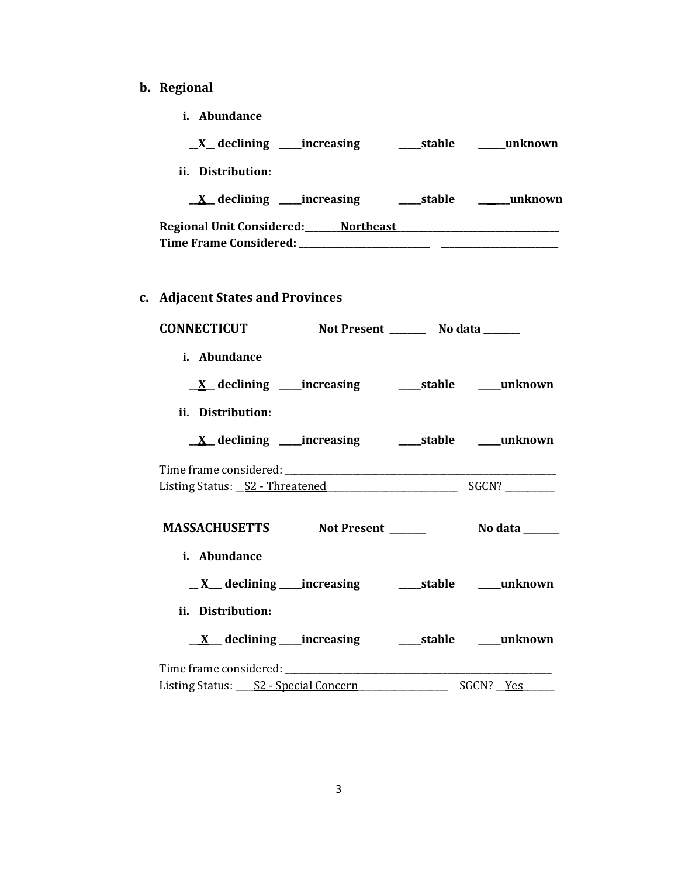# **b. Regional**

| i. Abundance                                    |                       |
|-------------------------------------------------|-----------------------|
|                                                 |                       |
| ii. Distribution:                               |                       |
|                                                 |                       |
|                                                 |                       |
| c. Adjacent States and Provinces                |                       |
| CONNECTICUT Not Present ________ No data ______ |                       |
| i. Abundance                                    |                       |
|                                                 |                       |
| ii. Distribution:                               |                       |
|                                                 |                       |
|                                                 |                       |
| MASSACHUSETTS Not Present ______                | <b>No data</b> ______ |
| i. Abundance                                    |                       |
|                                                 |                       |
| ii. Distribution:                               |                       |
|                                                 |                       |
|                                                 |                       |
| Listing Status: S2 - Special Concern            | SGCN? Yes             |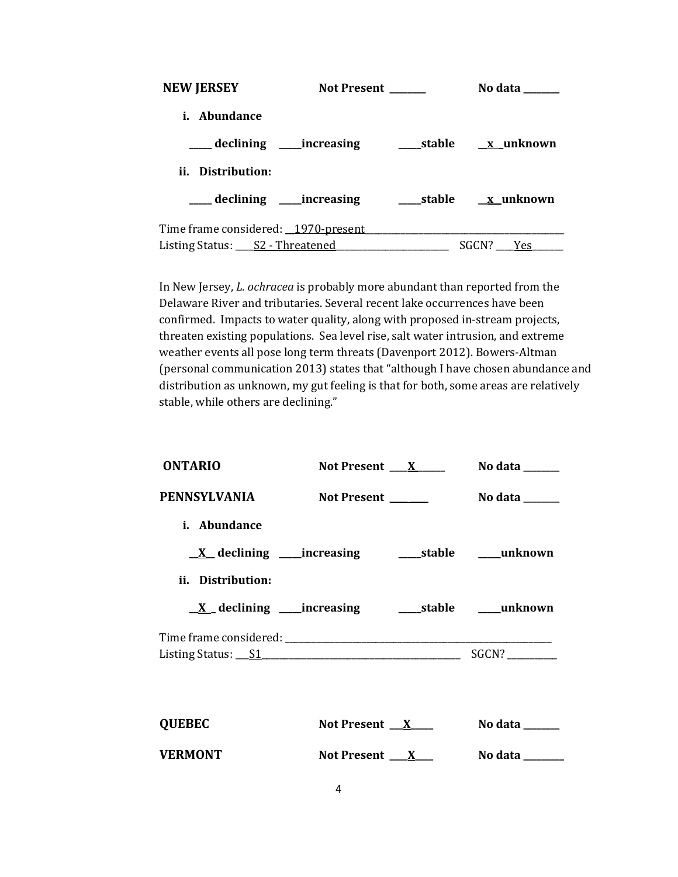| <b>NEW JERSEY</b>                    | <b>Not Present</b> | No data          |
|--------------------------------------|--------------------|------------------|
| <i>i.</i> Abundance                  |                    |                  |
| ___ declining _____increasing        |                    | stable x unknown |
| ii. Distribution:                    |                    |                  |
| __declining ____increasing           |                    |                  |
| Time frame considered: 1970-present  |                    |                  |
| Listing Status: ____ S2 - Threatened |                    | SGCN?<br>Yes     |

In New Jersey, *L. ochracea* is probably more abundant than reported from the Delaware River and tributaries. Several recent lake occurrences have been confirmed. Impacts to water quality, along with proposed in-stream projects, threaten existing populations. Sea level rise, salt water intrusion, and extreme weather events all pose long term threats (Davenport 2012). Bowers-Altman (personal communication 2013) states that "although I have chosen abundance and distribution as unknown, my gut feeling is that for both, some areas are relatively stable, while others are declining."

| <b>ONTARIO</b>                                               | Not Present <u>X</u>     | No data $\_\_\_\_\_\_\_\_\_\_\_\$                |
|--------------------------------------------------------------|--------------------------|--------------------------------------------------|
| PENNSYLVANIA                                                 | Not Present _____        | No data $\_\_\_\_\_\_\_\_\_\_\_\_\_\_\_\_\_\_\_$ |
| i. Abundance                                                 |                          |                                                  |
|                                                              |                          |                                                  |
| ii. Distribution:                                            |                          |                                                  |
| <u>X</u> declining ____increasing _______stable _____unknown |                          |                                                  |
|                                                              |                          |                                                  |
|                                                              |                          |                                                  |
|                                                              |                          |                                                  |
| <b>QUEBEC</b>                                                | Not Present $X$          | No data $\_\_\_\_\_\_\_\_\_\_\_\$                |
| <b>VERMONT</b>                                               | Not Present $\mathbf{X}$ | No data _______                                  |
|                                                              |                          |                                                  |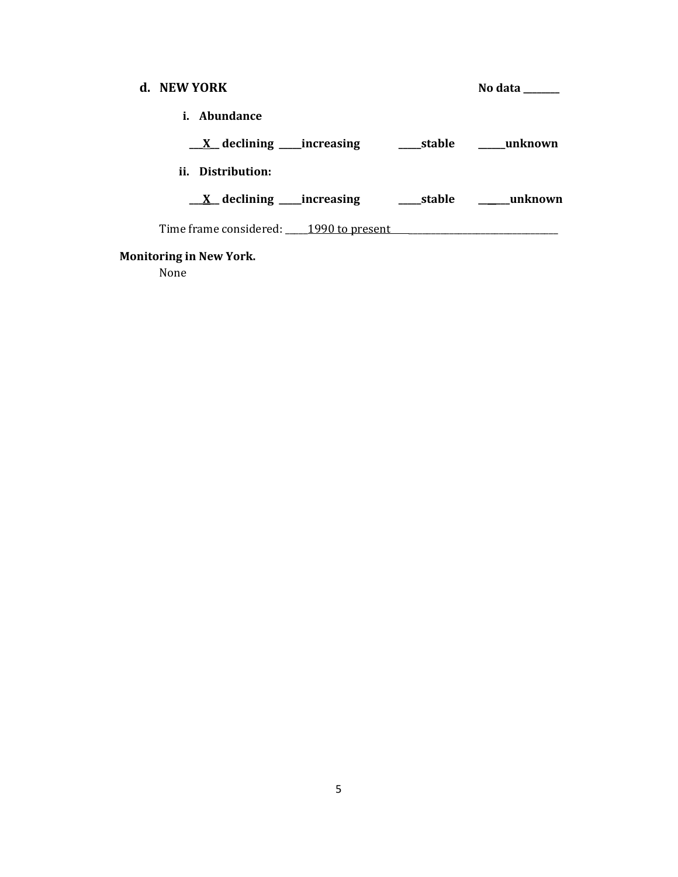| d. NEW YORK                                         |  | No data                                |
|-----------------------------------------------------|--|----------------------------------------|
| Abundance<br>i.                                     |  |                                        |
| $X$ declining _____ increasing                      |  | stable unknown                         |
| ii. Distribution:                                   |  |                                        |
| $\underline{\mathbf{X}}$ declining _____ increasing |  | stable <b>manufation</b> <u>stable</u> |
| Time frame considered: 1990 to present              |  |                                        |

# **Monitoring in New York.**

None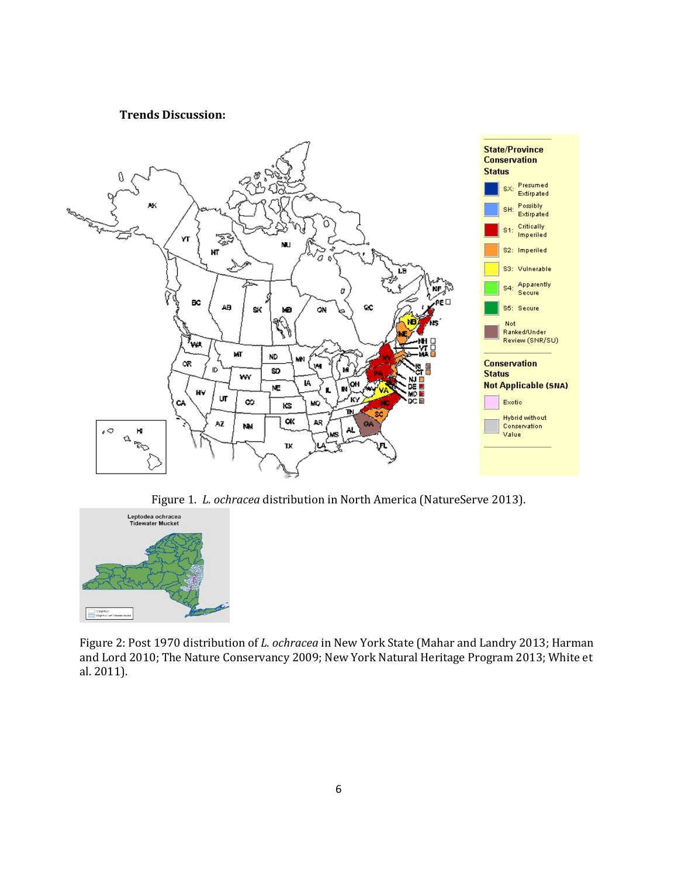#### **Trends Discussion:**



Figure 1. *L. ochracea* distribution in North America (NatureServe 2013).



Figure 2: Post 1970 distribution of *L. ochracea* in New York State (Mahar and Landry 2013; Harman and Lord 2010; The Nature Conservancy 2009; New York Natural Heritage Program 2013; White et al. 2011).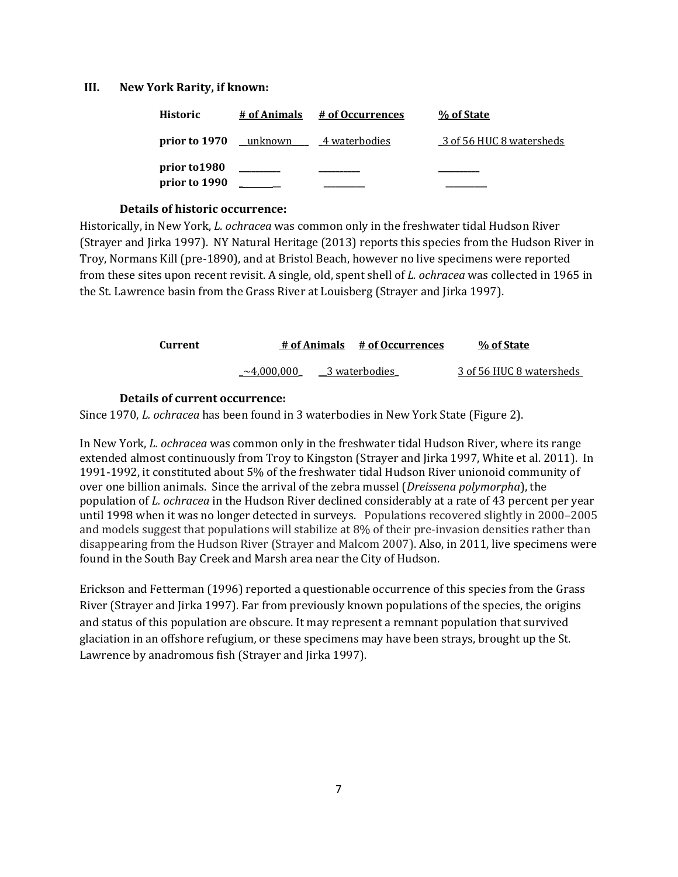#### **III. New York Rarity, if known:**

| <b>Historic</b>                | # of Animals  | # of Occurrences | % of State               |
|--------------------------------|---------------|------------------|--------------------------|
| prior to 1970                  | __unknown ___ | 4 waterbodies    | 3 of 56 HUC 8 watersheds |
| prior to 1980<br>prior to 1990 |               |                  |                          |

#### **Details of historic occurrence:**

Historically, in New York, *L. ochracea* was common only in the freshwater tidal Hudson River (Strayer and Jirka 1997). NY Natural Heritage (2013) reports this species from the Hudson River in Troy, Normans Kill (pre-1890), and at Bristol Beach, however no live specimens were reported from these sites upon recent revisit. A single, old, spent shell of *L. ochracea* was collected in 1965 in the St. Lawrence basin from the Grass River at Louisberg (Strayer and Jirka 1997).

| <b>Current</b> |                   | # of Animals # of Occurrences | % of State               |
|----------------|-------------------|-------------------------------|--------------------------|
|                | ${\sim}4.000.000$ | 3 waterbodies                 | 3 of 56 HUC 8 watersheds |

#### **Details of current occurrence:**

Since 1970, *L. ochracea* has been found in 3 waterbodies in New York State (Figure 2).

In New York, *L. ochracea* was common only in the freshwater tidal Hudson River, where its range extended almost continuously from Troy to Kingston (Strayer and Jirka 1997, White et al. 2011). In 1991-1992, it constituted about 5% of the freshwater tidal Hudson River unionoid community of over one billion animals. Since the arrival of the zebra mussel (*Dreissena polymorpha*), the population of *L. ochracea* in the Hudson River declined considerably at a rate of 43 percent per year until 1998 when it was no longer detected in surveys. Populations recovered slightly in 2000–2005 and models suggest that populations will stabilize at 8% of their pre-invasion densities rather than disappearing from the Hudson River (Strayer and Malcom 2007). Also, in 2011, live specimens were found in the South Bay Creek and Marsh area near the City of Hudson.

Erickson and Fetterman (1996) reported a questionable occurrence of this species from the Grass River (Strayer and Jirka 1997). Far from previously known populations of the species, the origins and status of this population are obscure. It may represent a remnant population that survived glaciation in an offshore refugium*,* or these specimens may have been strays, brought up the St. Lawrence by anadromous fish (Strayer and Jirka 1997).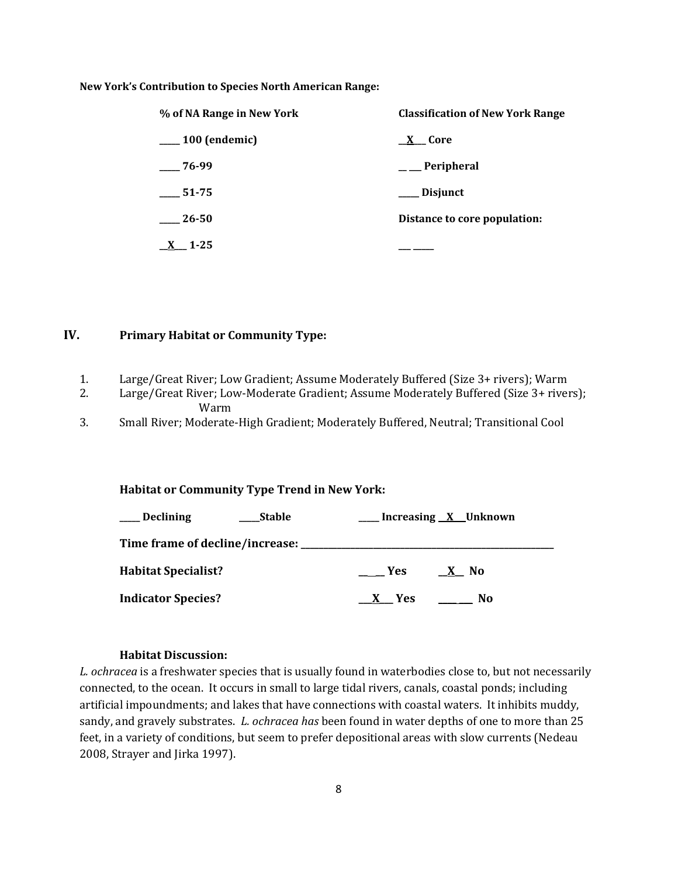#### **New York's Contribution to Species North American Range:**

| % of NA Range in New York | <b>Classification of New York Range</b> |
|---------------------------|-----------------------------------------|
| $\frac{100}{2}$ (endemic) | X Core                                  |
| 76-99                     | $\_\_\_$ Peripheral                     |
| 51-75                     | __ Disjunct                             |
| 26-50                     | Distance to core population:            |
| $-1 - 2.5$                |                                         |

#### **IV. Primary Habitat or Community Type:**

- 1. Large/Great River; Low Gradient; Assume Moderately Buffered (Size 3+ rivers); Warm
- 2. Large/Great River; Low-Moderate Gradient; Assume Moderately Buffered (Size 3+ rivers); Warm
- 3. Small River; Moderate-High Gradient; Moderately Buffered, Neutral; Transitional Cool

#### **Habitat or Community Type Trend in New York:**

| <b>Declining</b><br><b>Stable</b>         | Increasing X Unknown           |
|-------------------------------------------|--------------------------------|
| Time frame of decline/increase: _________ |                                |
| <b>Habitat Specialist?</b>                | <b>Yes</b><br>X No             |
| <b>Indicator Species?</b>                 | $\frac{1}{2}$ No<br><b>Yes</b> |

#### **Habitat Discussion:**

*L. ochracea* is a freshwater species that is usually found in waterbodies close to, but not necessarily connected, to the ocean. It occurs in small to large tidal rivers, canals, coastal ponds; including artificial impoundments; and lakes that have connections with coastal waters. It inhibits muddy, sandy, and gravely substrates. *L. ochracea has* been found in water depths of one to more than 25 feet, in a variety of conditions, but seem to prefer depositional areas with slow currents (Nedeau 2008, Strayer and Jirka 1997).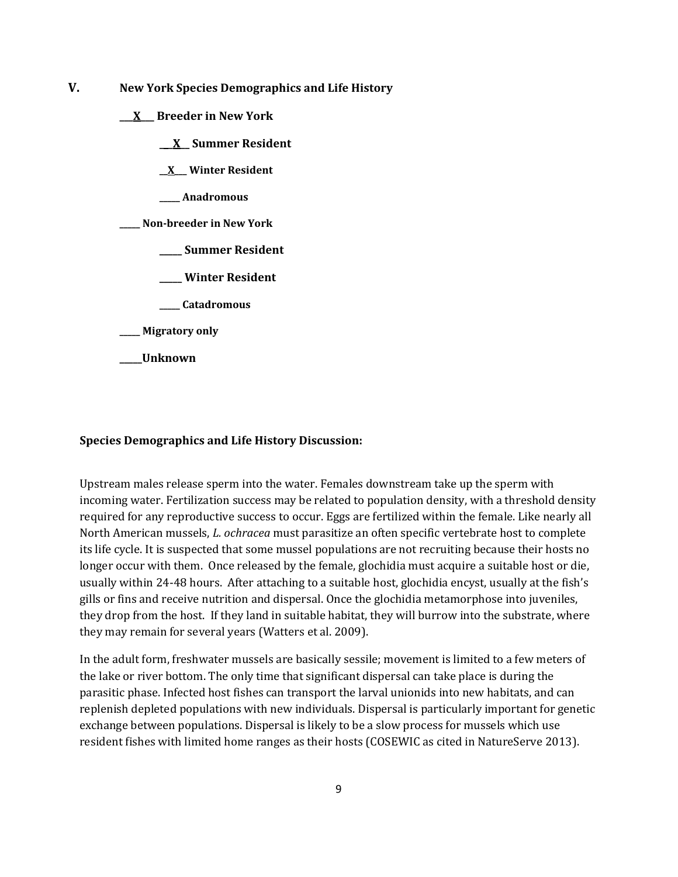- **V. New York Species Demographics and Life History**
	- **\_\_\_X\_\_\_ Breeder in New York**
		- **\_\_\_X\_\_ Summer Resident**
		- **\_\_X\_\_\_ Winter Resident**
		- **\_\_\_\_\_ Anadromous**
	- **\_\_\_\_\_ Non-breeder in New York**
		- **\_\_\_\_\_ Summer Resident**
		- **\_\_\_\_\_ Winter Resident**
		- **\_\_\_\_\_ Catadromous**
	- **\_\_\_\_\_ Migratory only**
	- **\_\_\_\_\_Unknown**

#### **Species Demographics and Life History Discussion:**

Upstream males release sperm into the water. Females downstream take up the sperm with incoming water. Fertilization success may be related to population density, with a threshold density required for any reproductive success to occur. Eggs are fertilized within the female. Like nearly all North American mussels, *L. ochracea* must parasitize an often specific vertebrate host to complete its life cycle. It is suspected that some mussel populations are not recruiting because their hosts no longer occur with them. Once released by the female, glochidia must acquire a suitable host or die, usually within 24-48 hours. After attaching to a suitable host, glochidia encyst, usually at the fish's gills or fins and receive nutrition and dispersal. Once the glochidia metamorphose into juveniles, they drop from the host. If they land in suitable habitat, they will burrow into the substrate, where they may remain for several years (Watters et al. 2009).

In the adult form, freshwater mussels are basically sessile; movement is limited to a few meters of the lake or river bottom. The only time that significant dispersal can take place is during the parasitic phase. Infected host fishes can transport the larval unionids into new habitats, and can replenish depleted populations with new individuals. Dispersal is particularly important for genetic exchange between populations. Dispersal is likely to be a slow process for mussels which use resident fishes with limited home ranges as their hosts (COSEWIC as cited in NatureServe 2013).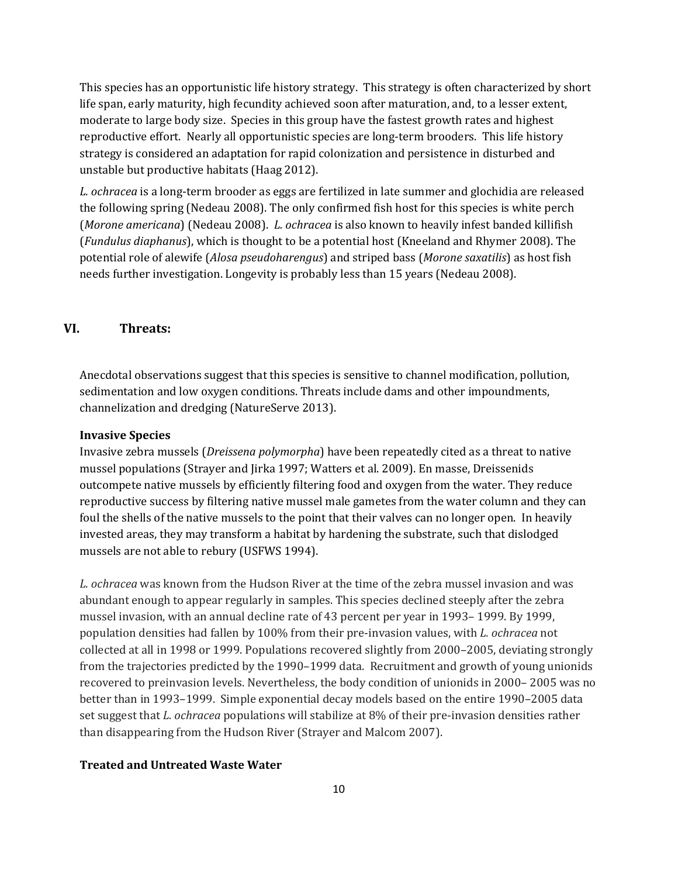This species has an opportunistic life history strategy. This strategy is often characterized by short life span, early maturity, high fecundity achieved soon after maturation, and, to a lesser extent, moderate to large body size. Species in this group have the fastest growth rates and highest reproductive effort. Nearly all opportunistic species are long-term brooders. This life history strategy is considered an adaptation for rapid colonization and persistence in disturbed and unstable but productive habitats (Haag 2012).

*L. ochracea* is a long-term brooder as eggs are fertilized in late summer and glochidia are released the following spring (Nedeau 2008). The only confirmed fish host for this species is white perch (*Morone americana*) (Nedeau 2008). *L. ochracea* is also known to heavily infest banded killifish (*Fundulus diaphanus*), which is thought to be a potential host (Kneeland and Rhymer 2008). The potential role of alewife (*Alosa pseudoharengus*) and striped bass (*Morone saxatilis*) as host fish needs further investigation. Longevity is probably less than 15 years (Nedeau 2008).

# **VI. Threats:**

Anecdotal observations suggest that this species is sensitive to channel modification, pollution, sedimentation and low oxygen conditions. Threats include dams and other impoundments, channelization and dredging (NatureServe 2013).

#### **Invasive Species**

Invasive zebra mussels (*Dreissena polymorpha*) have been repeatedly cited as a threat to native mussel populations (Strayer and Jirka 1997; Watters et al. 2009). En masse, Dreissenids outcompete native mussels by efficiently filtering food and oxygen from the water. They reduce reproductive success by filtering native mussel male gametes from the water column and they can foul the shells of the native mussels to the point that their valves can no longer open. In heavily invested areas, they may transform a habitat by hardening the substrate, such that dislodged mussels are not able to rebury (USFWS 1994).

*L. ochracea* was known from the Hudson River at the time of the zebra mussel invasion and was abundant enough to appear regularly in samples. This species declined steeply after the zebra mussel invasion, with an annual decline rate of 43 percent per year in 1993– 1999. By 1999, population densities had fallen by 100% from their pre-invasion values, with *L. ochracea* not collected at all in 1998 or 1999. Populations recovered slightly from 2000–2005, deviating strongly from the trajectories predicted by the 1990–1999 data. Recruitment and growth of young unionids recovered to preinvasion levels. Nevertheless, the body condition of unionids in 2000– 2005 was no better than in 1993–1999. Simple exponential decay models based on the entire 1990–2005 data set suggest that *L. ochracea* populations will stabilize at 8% of their pre-invasion densities rather than disappearing from the Hudson River (Strayer and Malcom 2007).

#### **Treated and Untreated Waste Water**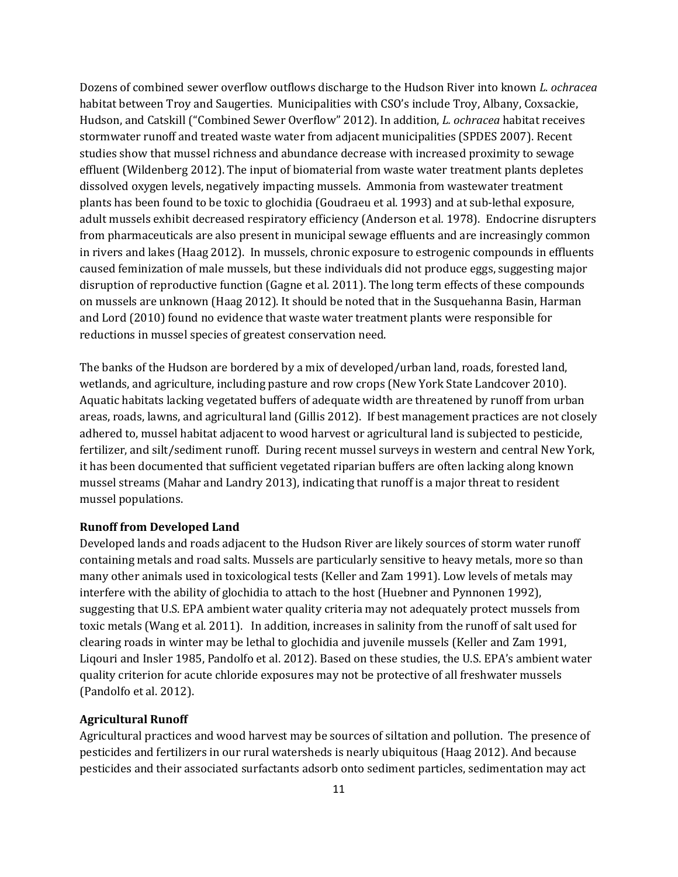Dozens of combined sewer overflow outflows discharge to the Hudson River into known *L. ochracea* habitat between Troy and Saugerties. Municipalities with CSO's include Troy, Albany, Coxsackie, Hudson, and Catskill ("Combined Sewer Overflow" 2012). In addition, *L. ochracea* habitat receives stormwater runoff and treated waste water from adjacent municipalities (SPDES 2007). Recent studies show that mussel richness and abundance decrease with increased proximity to sewage effluent (Wildenberg 2012). The input of biomaterial from waste water treatment plants depletes dissolved oxygen levels, negatively impacting mussels. Ammonia from wastewater treatment plants has been found to be toxic to glochidia (Goudraeu et al. 1993) and at sub-lethal exposure, adult mussels exhibit decreased respiratory efficiency (Anderson et al*.* 1978). Endocrine disrupters from pharmaceuticals are also present in municipal sewage effluents and are increasingly common in rivers and lakes (Haag 2012). In mussels, chronic exposure to estrogenic compounds in effluents caused feminization of male mussels, but these individuals did not produce eggs, suggesting major disruption of reproductive function (Gagne et al. 2011). The long term effects of these compounds on mussels are unknown (Haag 2012). It should be noted that in the Susquehanna Basin, Harman and Lord (2010) found no evidence that waste water treatment plants were responsible for reductions in mussel species of greatest conservation need.

The banks of the Hudson are bordered by a mix of developed/urban land, roads, forested land, wetlands, and agriculture, including pasture and row crops (New York State Landcover 2010). Aquatic habitats lacking vegetated buffers of adequate width are threatened by runoff from urban areas, roads, lawns, and agricultural land (Gillis 2012). If best management practices are not closely adhered to, mussel habitat adjacent to wood harvest or agricultural land is subjected to pesticide, fertilizer, and silt/sediment runoff. During recent mussel surveys in western and central New York, it has been documented that sufficient vegetated riparian buffers are often lacking along known mussel streams (Mahar and Landry 2013), indicating that runoff is a major threat to resident mussel populations.

#### **Runoff from Developed Land**

Developed lands and roads adjacent to the Hudson River are likely sources of storm water runoff containing metals and road salts. Mussels are particularly sensitive to heavy metals, more so than many other animals used in toxicological tests (Keller and Zam 1991). Low levels of metals may interfere with the ability of glochidia to attach to the host (Huebner and Pynnonen 1992), suggesting that U.S. EPA ambient water quality criteria may not adequately protect mussels from toxic metals (Wang et al. 2011). In addition, increases in salinity from the runoff of salt used for clearing roads in winter may be lethal to glochidia and juvenile mussels (Keller and Zam 1991, Liqouri and Insler 1985, Pandolfo et al. 2012). Based on these studies, the U.S. EPA's ambient water quality criterion for acute chloride exposures may not be protective of all freshwater mussels (Pandolfo et al. 2012).

#### **Agricultural Runoff**

Agricultural practices and wood harvest may be sources of siltation and pollution. The presence of pesticides and fertilizers in our rural watersheds is nearly ubiquitous (Haag 2012). And because pesticides and their associated surfactants adsorb onto sediment particles, sedimentation may act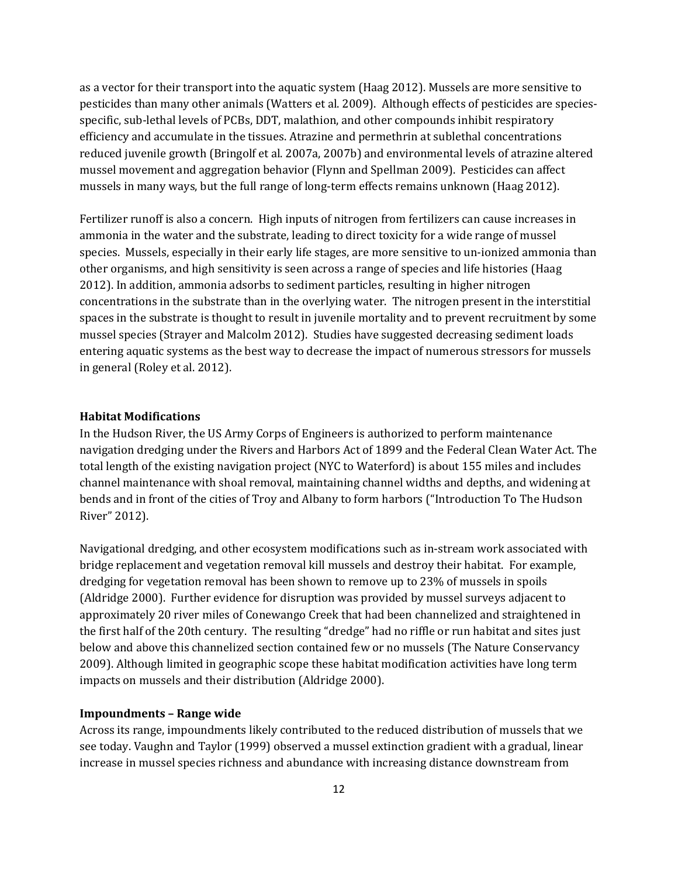as a vector for their transport into the aquatic system (Haag 2012). Mussels are more sensitive to pesticides than many other animals (Watters et al. 2009). Although effects of pesticides are speciesspecific, sub-lethal levels of PCBs, DDT, malathion, and other compounds inhibit respiratory efficiency and accumulate in the tissues. Atrazine and permethrin at sublethal concentrations reduced juvenile growth (Bringolf et al. 2007a, 2007b) and environmental levels of atrazine altered mussel movement and aggregation behavior (Flynn and Spellman 2009). Pesticides can affect mussels in many ways, but the full range of long-term effects remains unknown (Haag 2012).

Fertilizer runoff is also a concern. High inputs of nitrogen from fertilizers can cause increases in ammonia in the water and the substrate, leading to direct toxicity for a wide range of mussel species. Mussels, especially in their early life stages, are more sensitive to un-ionized ammonia than other organisms, and high sensitivity is seen across a range of species and life histories (Haag 2012). In addition, ammonia adsorbs to sediment particles, resulting in higher nitrogen concentrations in the substrate than in the overlying water. The nitrogen present in the interstitial spaces in the substrate is thought to result in juvenile mortality and to prevent recruitment by some mussel species (Strayer and Malcolm 2012). Studies have suggested decreasing sediment loads entering aquatic systems as the best way to decrease the impact of numerous stressors for mussels in general (Roley et al. 2012).

#### **Habitat Modifications**

In the Hudson River, the US Army Corps of Engineers is authorized to perform maintenance navigation dredging under the Rivers and Harbors Act of 1899 and the Federal Clean Water Act. The total length of the existing navigation project (NYC to Waterford) is about 155 miles and includes channel maintenance with shoal removal, maintaining channel widths and depths, and widening at bends and in front of the cities of Troy and Albany to form harbors ("Introduction To The Hudson River" 2012).

Navigational dredging, and other ecosystem modifications such as in-stream work associated with bridge replacement and vegetation removal kill mussels and destroy their habitat. For example, dredging for vegetation removal has been shown to remove up to 23% of mussels in spoils (Aldridge 2000). Further evidence for disruption was provided by mussel surveys adjacent to approximately 20 river miles of Conewango Creek that had been channelized and straightened in the first half of the 20th century. The resulting "dredge" had no riffle or run habitat and sites just below and above this channelized section contained few or no mussels (The Nature Conservancy 2009). Although limited in geographic scope these habitat modification activities have long term impacts on mussels and their distribution (Aldridge 2000).

#### **Impoundments – Range wide**

Across its range, impoundments likely contributed to the reduced distribution of mussels that we see today. Vaughn and Taylor (1999) observed a mussel extinction gradient with a gradual, linear increase in mussel species richness and abundance with increasing distance downstream from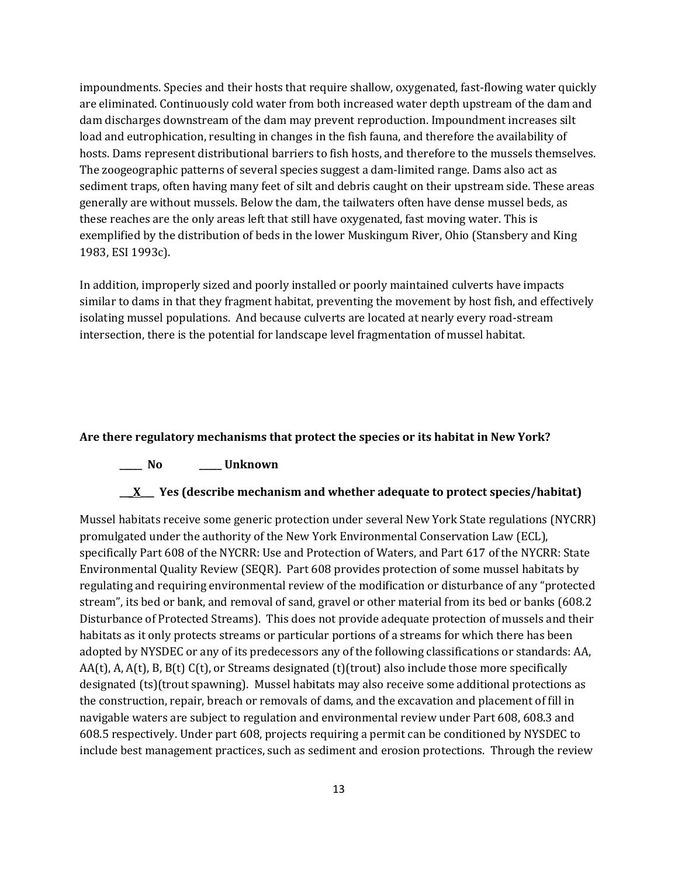impoundments. Species and their hosts that require shallow, oxygenated, fast-flowing water quickly are eliminated. Continuously cold water from both increased water depth upstream of the dam and dam discharges downstream of the dam may prevent reproduction. Impoundment increases silt load and eutrophication, resulting in changes in the fish fauna, and therefore the availability of hosts. Dams represent distributional barriers to fish hosts, and therefore to the mussels themselves. The zoogeographic patterns of several species suggest a dam-limited range. Dams also act as sediment traps, often having many feet of silt and debris caught on their upstream side. These areas generally are without mussels. Below the dam, the tailwaters often have dense mussel beds, as these reaches are the only areas left that still have oxygenated, fast moving water. This is exemplified by the distribution of beds in the lower Muskingum River, Ohio (Stansbery and King 1983, ESI 1993c).

In addition, improperly sized and poorly installed or poorly maintained culverts have impacts similar to dams in that they fragment habitat, preventing the movement by host fish, and effectively isolating mussel populations. And because culverts are located at nearly every road-stream intersection, there is the potential for landscape level fragmentation of mussel habitat.

#### **Are there regulatory mechanisms that protect the species or its habitat in New York?**

#### **\_\_\_\_\_ No \_\_\_\_\_ Unknown**

#### **\_\_\_X\_\_\_ Yes (describe mechanism and whether adequate to protect species/habitat)**

Mussel habitats receive some generic protection under several New York State regulations (NYCRR) promulgated under the authority of the New York Environmental Conservation Law (ECL), specifically Part 608 of the NYCRR: Use and Protection of Waters, and Part 617 of the NYCRR: State Environmental Quality Review (SEQR). Part 608 provides protection of some mussel habitats by regulating and requiring environmental review of the modification or disturbance of any "protected stream", its bed or bank, and removal of sand, gravel or other material from its bed or banks (608.2 Disturbance of Protected Streams). This does not provide adequate protection of mussels and their habitats as it only protects streams or particular portions of a streams for which there has been adopted by NYSDEC or any of its predecessors any of the following classifications or standards: AA,  $AA(t)$ , A,  $A(t)$ , B,  $B(t)$  C(t), or Streams designated (t)(trout) also include those more specifically designated (ts)(trout spawning). Mussel habitats may also receive some additional protections as the construction, repair, breach or removals of dams, and the excavation and placement of fill in navigable waters are subject to regulation and environmental review under Part 608, 608.3 and 608.5 respectively. Under part 608, projects requiring a permit can be conditioned by NYSDEC to include best management practices, such as sediment and erosion protections. Through the review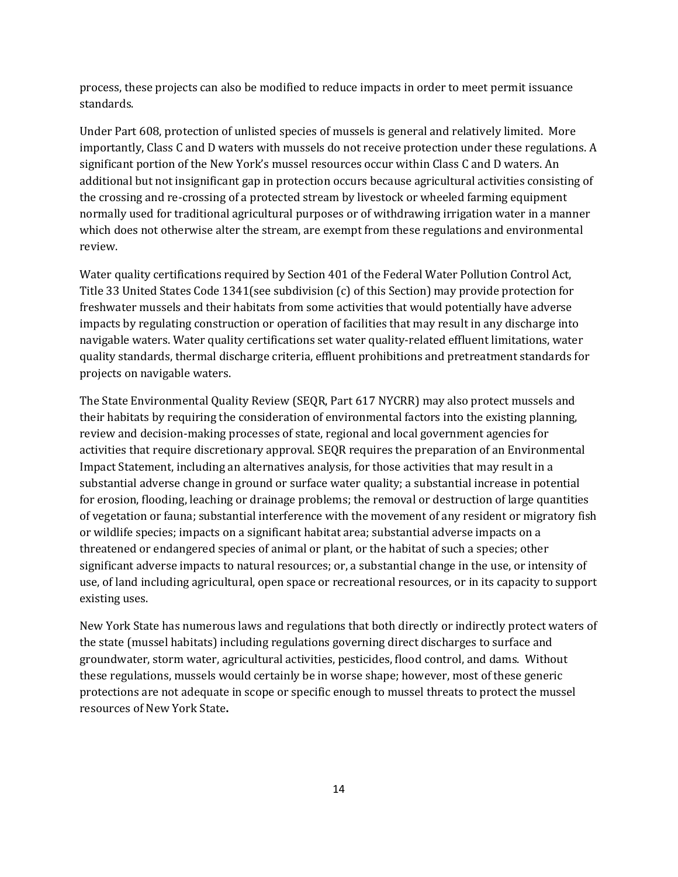process, these projects can also be modified to reduce impacts in order to meet permit issuance standards.

Under Part 608, protection of unlisted species of mussels is general and relatively limited. More importantly, Class C and D waters with mussels do not receive protection under these regulations. A significant portion of the New York's mussel resources occur within Class C and D waters. An additional but not insignificant gap in protection occurs because agricultural activities consisting of the crossing and re-crossing of a protected stream by livestock or wheeled farming equipment normally used for traditional agricultural purposes or of withdrawing irrigation water in a manner which does not otherwise alter the stream, are exempt from these regulations and environmental review.

Water quality certifications required by Section 401 of the Federal Water Pollution Control Act, Title 33 United States Code 1341(see subdivision (c) of this Section) may provide protection for freshwater mussels and their habitats from some activities that would potentially have adverse impacts by regulating construction or operation of facilities that may result in any discharge into navigable waters. Water quality certifications set water quality-related effluent limitations, water quality standards, thermal discharge criteria, effluent prohibitions and pretreatment standards for projects on navigable waters.

The State Environmental Quality Review (SEQR, Part 617 NYCRR) may also protect mussels and their habitats by requiring the consideration of environmental factors into the existing planning, review and decision-making processes of state, regional and local government agencies for activities that require discretionary approval. SEQR requires the preparation of an Environmental Impact Statement, including an alternatives analysis, for those activities that may result in a substantial adverse change in ground or surface water quality; a substantial increase in potential for erosion, flooding, leaching or drainage problems; the removal or destruction of large quantities of vegetation or fauna; substantial interference with the movement of any resident or migratory fish or wildlife species; impacts on a significant habitat area; substantial adverse impacts on a threatened or endangered species of animal or plant, or the habitat of such a species; other significant adverse impacts to natural resources; or, a substantial change in the use, or intensity of use, of land including agricultural, open space or recreational resources, or in its capacity to support existing uses.

New York State has numerous laws and regulations that both directly or indirectly protect waters of the state (mussel habitats) including regulations governing direct discharges to surface and groundwater, storm water, agricultural activities, pesticides, flood control, and dams. Without these regulations, mussels would certainly be in worse shape; however, most of these generic protections are not adequate in scope or specific enough to mussel threats to protect the mussel resources of New York State**.**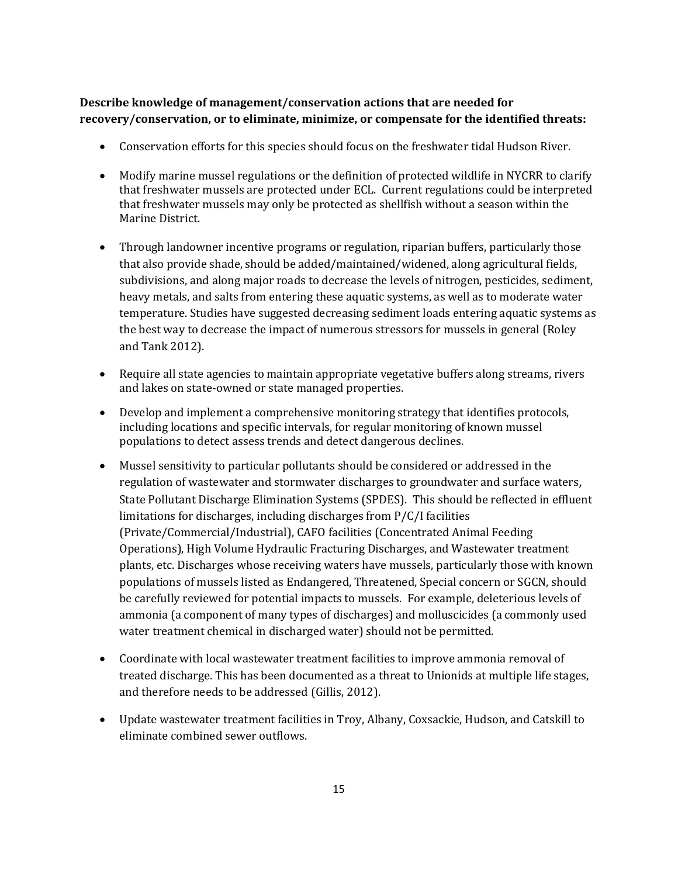# **Describe knowledge of management/conservation actions that are needed for recovery/conservation, or to eliminate, minimize, or compensate for the identified threats:**

- Conservation efforts for this species should focus on the freshwater tidal Hudson River.
- Modify marine mussel regulations or the definition of protected wildlife in NYCRR to clarify that freshwater mussels are protected under ECL. Current regulations could be interpreted that freshwater mussels may only be protected as shellfish without a season within the Marine District.
- Through landowner incentive programs or regulation, riparian buffers, particularly those that also provide shade, should be added/maintained/widened, along agricultural fields, subdivisions, and along major roads to decrease the levels of nitrogen, pesticides, sediment, heavy metals, and salts from entering these aquatic systems, as well as to moderate water temperature. Studies have suggested decreasing sediment loads entering aquatic systems as the best way to decrease the impact of numerous stressors for mussels in general (Roley and Tank 2012).
- Require all state agencies to maintain appropriate vegetative buffers along streams, rivers and lakes on state-owned or state managed properties.
- Develop and implement a comprehensive monitoring strategy that identifies protocols, including locations and specific intervals, for regular monitoring of known mussel populations to detect assess trends and detect dangerous declines.
- Mussel sensitivity to particular pollutants should be considered or addressed in the regulation of wastewater and stormwater discharges to groundwater and surface waters, State Pollutant Discharge Elimination Systems (SPDES). This should be reflected in effluent limitations for discharges, including discharges from P/C/I facilities (Private/Commercial/Industrial), CAFO facilities (Concentrated Animal Feeding Operations), High Volume Hydraulic Fracturing Discharges, and Wastewater treatment plants, etc. Discharges whose receiving waters have mussels, particularly those with known populations of mussels listed as Endangered, Threatened, Special concern or SGCN, should be carefully reviewed for potential impacts to mussels. For example, deleterious levels of ammonia (a component of many types of discharges) and molluscicides (a commonly used water treatment chemical in discharged water) should not be permitted.
- Coordinate with local wastewater treatment facilities to improve ammonia removal of treated discharge. This has been documented as a threat to Unionids at multiple life stages, and therefore needs to be addressed (Gillis, 2012).
- Update wastewater treatment facilities in Troy, Albany, Coxsackie, Hudson, and Catskill to eliminate combined sewer outflows.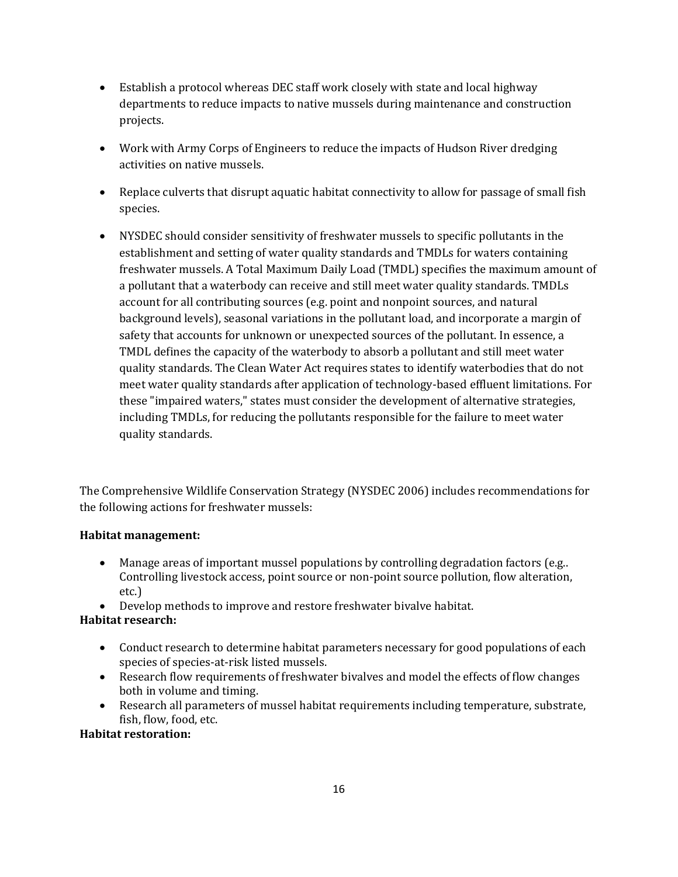- Establish a protocol whereas DEC staff work closely with state and local highway departments to reduce impacts to native mussels during maintenance and construction projects.
- Work with Army Corps of Engineers to reduce the impacts of Hudson River dredging activities on native mussels.
- Replace culverts that disrupt aquatic habitat connectivity to allow for passage of small fish species.
- NYSDEC should consider sensitivity of freshwater mussels to specific pollutants in the establishment and setting of water quality standards and TMDLs for waters containing freshwater mussels. A Total Maximum Daily Load (TMDL) specifies the maximum amount of a pollutant that a waterbody can receive and still meet water quality standards. TMDLs account for all contributing sources (e.g. point and nonpoint sources, and natural background levels), seasonal variations in the pollutant load, and incorporate a margin of safety that accounts for unknown or unexpected sources of the pollutant. In essence, a TMDL defines the capacity of the waterbody to absorb a pollutant and still meet water quality standards. The Clean Water Act requires states to identify waterbodies that do not meet water quality standards after application of technology-based effluent limitations. For these "impaired waters," states must consider the development of alternative strategies, including TMDLs, for reducing the pollutants responsible for the failure to meet water quality standards.

The Comprehensive Wildlife Conservation Strategy (NYSDEC 2006) includes recommendations for the following actions for freshwater mussels:

### **Habitat management:**

- Manage areas of important mussel populations by controlling degradation factors (e.g.. Controlling livestock access, point source or non-point source pollution, flow alteration, etc.)
- Develop methods to improve and restore freshwater bivalve habitat.

### **Habitat research:**

- Conduct research to determine habitat parameters necessary for good populations of each species of species-at-risk listed mussels.
- Research flow requirements of freshwater bivalves and model the effects of flow changes both in volume and timing.
- Research all parameters of mussel habitat requirements including temperature, substrate, fish, flow, food, etc.

### **Habitat restoration:**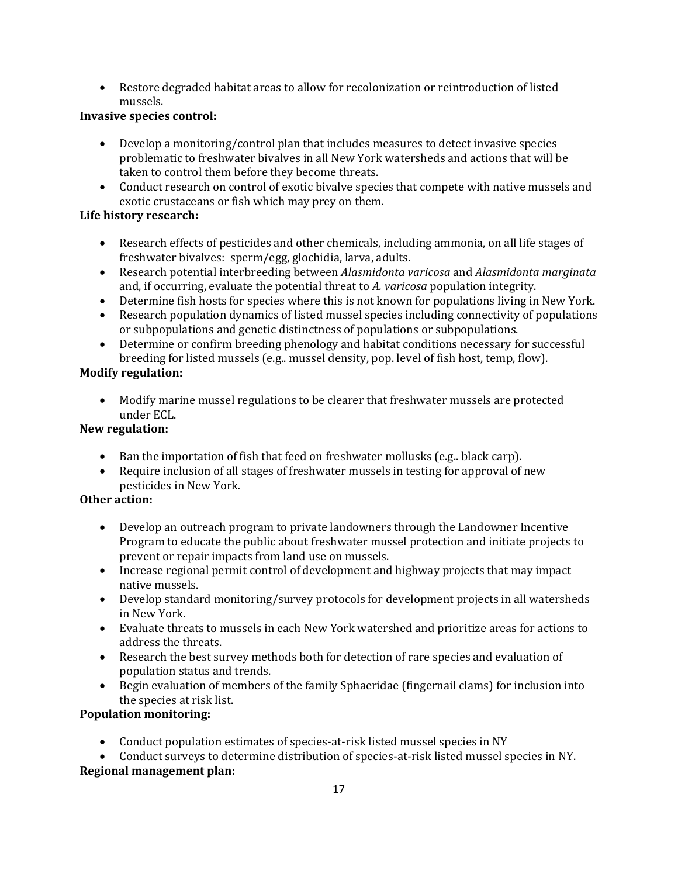• Restore degraded habitat areas to allow for recolonization or reintroduction of listed mussels.

### **Invasive species control:**

- Develop a monitoring/control plan that includes measures to detect invasive species problematic to freshwater bivalves in all New York watersheds and actions that will be taken to control them before they become threats.
- Conduct research on control of exotic bivalve species that compete with native mussels and exotic crustaceans or fish which may prey on them.

# **Life history research:**

- Research effects of pesticides and other chemicals, including ammonia, on all life stages of freshwater bivalves: sperm/egg, glochidia, larva, adults.
- Research potential interbreeding between *Alasmidonta varicosa* and *Alasmidonta marginata* and, if occurring, evaluate the potential threat to *A. varicosa* population integrity.
- Determine fish hosts for species where this is not known for populations living in New York.
- Research population dynamics of listed mussel species including connectivity of populations or subpopulations and genetic distinctness of populations or subpopulations.
- Determine or confirm breeding phenology and habitat conditions necessary for successful breeding for listed mussels (e.g.. mussel density, pop. level of fish host, temp, flow).

# **Modify regulation:**

• Modify marine mussel regulations to be clearer that freshwater mussels are protected under ECL.

# **New regulation:**

- Ban the importation of fish that feed on freshwater mollusks (e.g.. black carp).
- Require inclusion of all stages of freshwater mussels in testing for approval of new pesticides in New York*.*

# **Other action:**

- Develop an outreach program to private landowners through the Landowner Incentive Program to educate the public about freshwater mussel protection and initiate projects to prevent or repair impacts from land use on mussels.
- Increase regional permit control of development and highway projects that may impact native mussels.
- Develop standard monitoring/survey protocols for development projects in all watersheds in New York.
- Evaluate threats to mussels in each New York watershed and prioritize areas for actions to address the threats.
- Research the best survey methods both for detection of rare species and evaluation of population status and trends.
- Begin evaluation of members of the family Sphaeridae (fingernail clams) for inclusion into the species at risk list.

# **Population monitoring:**

- Conduct population estimates of species-at-risk listed mussel species in NY
- Conduct surveys to determine distribution of species-at-risk listed mussel species in NY. **Regional management plan:**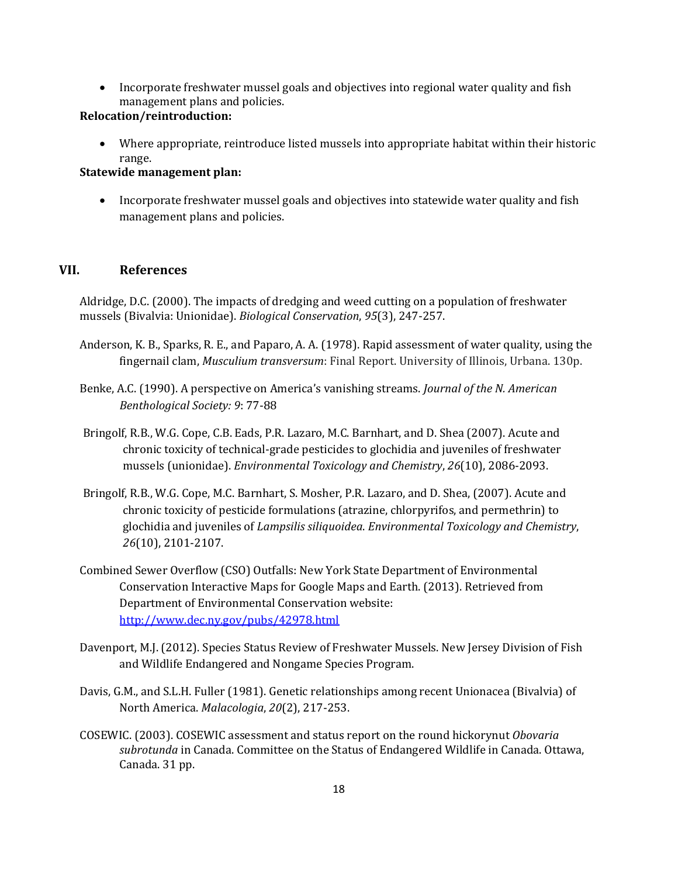• Incorporate freshwater mussel goals and objectives into regional water quality and fish management plans and policies.

### **Relocation/reintroduction:**

• Where appropriate, reintroduce listed mussels into appropriate habitat within their historic range.

#### **Statewide management plan:**

• Incorporate freshwater mussel goals and objectives into statewide water quality and fish management plans and policies.

### **VII. References**

Aldridge, D.C. (2000). The impacts of dredging and weed cutting on a population of freshwater mussels (Bivalvia: Unionidae). *Biological Conservation*, *95*(3), 247-257.

- Anderson, K. B., Sparks, R. E., and Paparo, A. A. (1978). Rapid assessment of water quality, using the fingernail clam, *Musculium transversum*: Final Report. University of Illinois, Urbana. 130p.
- Benke, A.C. (1990). A perspective on America's vanishing streams. *Journal of the N. American Benthological Society: 9*: 77-88
- Bringolf, R.B., W.G. Cope, C.B. Eads, P.R. Lazaro, M.C. Barnhart, and D. Shea (2007). Acute and chronic toxicity of technical‐grade pesticides to glochidia and juveniles of freshwater mussels (unionidae). *Environmental Toxicology and Chemistry*, *26*(10), 2086-2093.
- Bringolf, R.B., W.G. Cope, M.C. Barnhart, S. Mosher, P.R. Lazaro, and D. Shea, (2007). Acute and chronic toxicity of pesticide formulations (atrazine, chlorpyrifos, and permethrin) to glochidia and juveniles of *Lampsilis siliquoidea*. *Environmental Toxicology and Chemistry*, *26*(10), 2101-2107.
- Combined Sewer Overflow (CSO) Outfalls: New York State Department of Environmental Conservation Interactive Maps for Google Maps and Earth. (2013). Retrieved from Department of Environmental Conservation website: <http://www.dec.ny.gov/pubs/42978.html>
- Davenport, M.J. (2012). Species Status Review of Freshwater Mussels. New Jersey Division of Fish and Wildlife Endangered and Nongame Species Program.
- Davis, G.M., and S.L.H. Fuller (1981). Genetic relationships among recent Unionacea (Bivalvia) of North America. *Malacologia*, *20*(2), 217-253.
- COSEWIC. (2003). COSEWIC assessment and status report on the round hickorynut *Obovaria subrotunda* in Canada. Committee on the Status of Endangered Wildlife in Canada. Ottawa, Canada. 31 pp.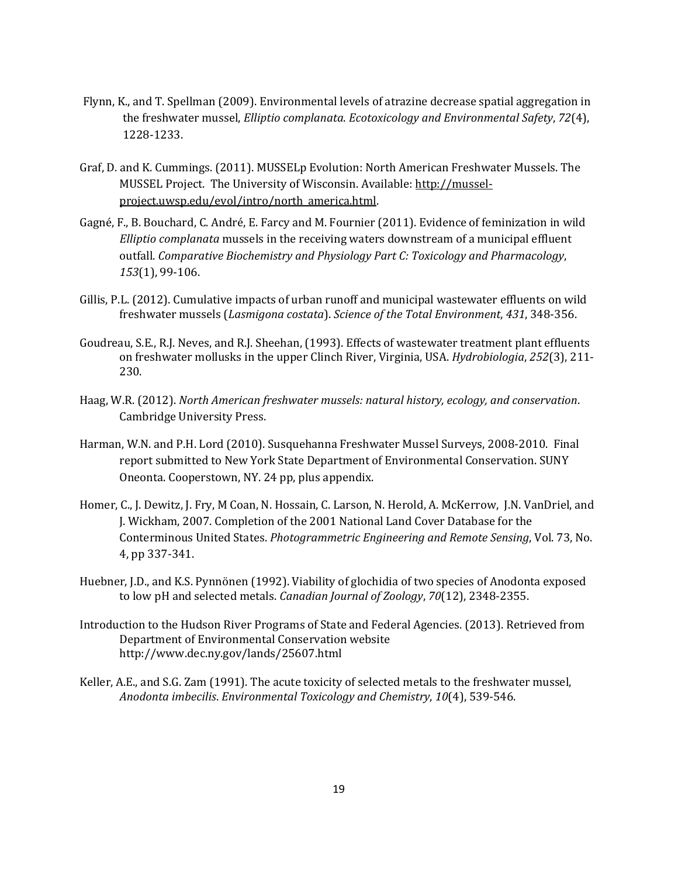- Flynn, K., and T. Spellman (2009). Environmental levels of atrazine decrease spatial aggregation in the freshwater mussel, *Elliptio complanata*. *Ecotoxicology and Environmental Safety*, *72*(4), 1228-1233.
- Graf, D. and K. Cummings. (2011). MUSSELp Evolution: North American Freshwater Mussels. The MUSSEL Project. The University of Wisconsin. Available: [http://mussel](http://mussel-project.uwsp.edu/evol/intro/north_america.html)[project.uwsp.edu/evol/intro/north\\_america.html.](http://mussel-project.uwsp.edu/evol/intro/north_america.html)
- Gagné, F., B. Bouchard, C. André, E. Farcy and M. Fournier (2011). Evidence of feminization in wild *Elliptio complanata* mussels in the receiving waters downstream of a municipal effluent outfall. *Comparative Biochemistry and Physiology Part C: Toxicology and Pharmacology*, *153*(1), 99-106.
- Gillis, P.L. (2012). Cumulative impacts of urban runoff and municipal wastewater effluents on wild freshwater mussels (*Lasmigona costata*). *Science of the Total Environment*, *431*, 348-356.
- Goudreau, S.E., R.J. Neves, and R.J. Sheehan, (1993). Effects of wastewater treatment plant effluents on freshwater mollusks in the upper Clinch River, Virginia, USA. *Hydrobiologia*, *252*(3), 211- 230.
- Haag, W.R. (2012). *North American freshwater mussels: natural history, ecology, and conservation*. Cambridge University Press.
- Harman, W.N. and P.H. Lord (2010). Susquehanna Freshwater Mussel Surveys, 2008-2010. Final report submitted to New York State Department of Environmental Conservation. SUNY Oneonta. Cooperstown, NY. 24 pp, plus appendix.
- Homer, C., J. Dewitz, J. Fry, M Coan, N. Hossain, C. Larson, N. Herold, A. McKerrow, J.N. VanDriel, and J. Wickham, 2007. Completion of the 2001 National Land Cover Database for the Conterminous United States. *Photogrammetric Engineering and Remote Sensing*, Vol. 73, No. 4, pp 337-341.
- Huebner, J.D., and K.S. Pynnönen (1992). Viability of glochidia of two species of Anodonta exposed to low pH and selected metals. *Canadian Journal of Zoology*, *70*(12), 2348-2355.
- Introduction to the Hudson River Programs of State and Federal Agencies. (2013). Retrieved from Department of Environmental Conservation website http://www.dec.ny.gov/lands/25607.html
- Keller, A.E., and S.G. Zam (1991). The acute toxicity of selected metals to the freshwater mussel, *Anodonta imbecilis*. *Environmental Toxicology and Chemistry*, *10*(4), 539-546.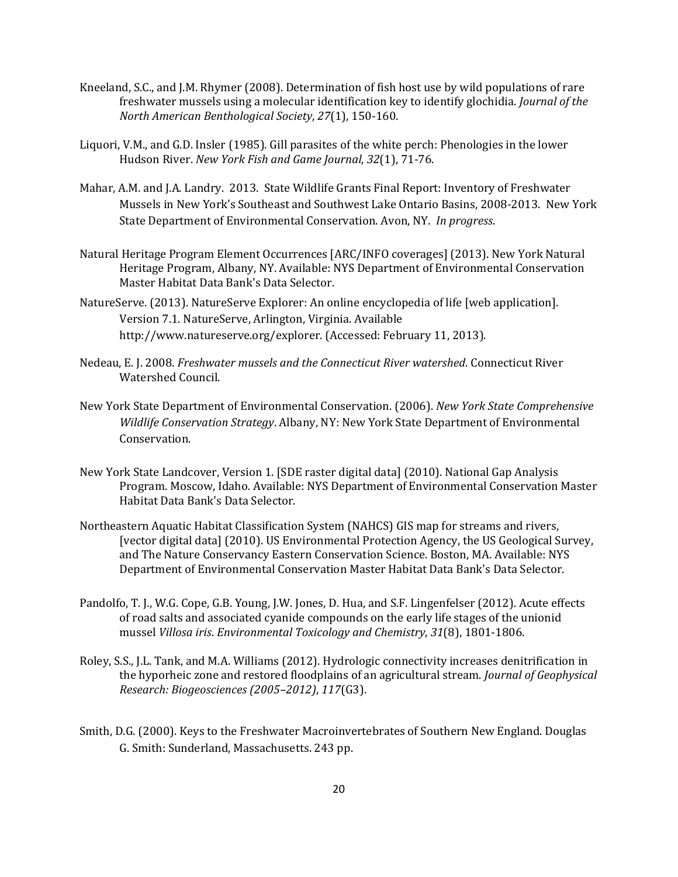- Kneeland, S.C., and J.M. Rhymer (2008). Determination of fish host use by wild populations of rare freshwater mussels using a molecular identification key to identify glochidia. *Journal of the North American Benthological Society*, *27*(1), 150-160.
- Liquori, V.M., and G.D. Insler (1985). Gill parasites of the white perch: Phenologies in the lower Hudson River. *New York Fish and Game Journal*, *32*(1), 71-76.
- Mahar, A.M. and J.A. Landry. 2013. State Wildlife Grants Final Report: Inventory of Freshwater Mussels in New York's Southeast and Southwest Lake Ontario Basins, 2008-2013. New York State Department of Environmental Conservation. Avon, NY. *In progress*.
- Natural Heritage Program Element Occurrences [ARC/INFO coverages] (2013). New York Natural Heritage Program, Albany, NY. Available: NYS Department of Environmental Conservation Master Habitat Data Bank's Data Selector.
- NatureServe. (2013). NatureServe Explorer: An online encyclopedia of life [web application]. Version 7.1. NatureServe, Arlington, Virginia. Available http://www.natureserve.org/explorer. (Accessed: February 11, 2013).
- Nedeau, E. J. 2008. *Freshwater mussels and the Connecticut River watershed*. Connecticut River Watershed Council.
- New York State Department of Environmental Conservation. (2006). *New York State Comprehensive Wildlife Conservation Strategy*. Albany, NY: New York State Department of Environmental Conservation.
- New York State Landcover, Version 1. [SDE raster digital data] (2010). National Gap Analysis Program. Moscow, Idaho. Available: NYS Department of Environmental Conservation Master Habitat Data Bank's Data Selector.
- Northeastern Aquatic Habitat Classification System (NAHCS) GIS map for streams and rivers, [vector digital data] (2010). US Environmental Protection Agency, the US Geological Survey, and The Nature Conservancy Eastern Conservation Science. Boston, MA. Available: NYS Department of Environmental Conservation Master Habitat Data Bank's Data Selector.
- Pandolfo, T. J., W.G. Cope, G.B. Young, J.W. Jones, D. Hua, and S.F. Lingenfelser (2012). Acute effects of road salts and associated cyanide compounds on the early life stages of the unionid mussel *Villosa iris*. *Environmental Toxicology and Chemistry*, *31*(8), 1801-1806.
- Roley, S.S., J.L. Tank, and M.A. Williams (2012). Hydrologic connectivity increases denitrification in the hyporheic zone and restored floodplains of an agricultural stream. *Journal of Geophysical Research: Biogeosciences (2005–2012)*, *117*(G3).
- Smith, D.G. (2000). Keys to the Freshwater Macroinvertebrates of Southern New England. Douglas G. Smith: Sunderland, Massachusetts. 243 pp.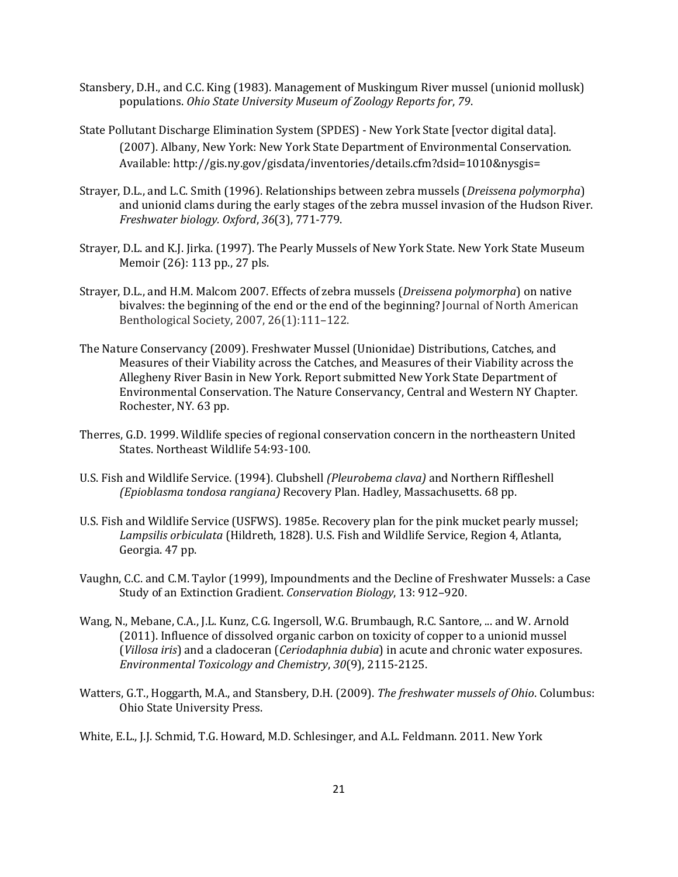- Stansbery, D.H., and C.C. King (1983). Management of Muskingum River mussel (unionid mollusk) populations. *Ohio State University Museum of Zoology Reports for*, *79*.
- State Pollutant Discharge Elimination System (SPDES) New York State [vector digital data]. (2007). Albany, New York: New York State Department of Environmental Conservation. Available: http://gis.ny.gov/gisdata/inventories/details.cfm?dsid=1010&nysgis=
- Strayer, D.L., and L.C. Smith (1996). Relationships between zebra mussels (*Dreissena polymorpha*) and unionid clams during the early stages of the zebra mussel invasion of the Hudson River. *Freshwater biology. Oxford*, *36*(3), 771-779.
- Strayer, D.L. and K.J. Jirka. (1997). The Pearly Mussels of New York State. New York State Museum Memoir (26): 113 pp., 27 pls.
- Strayer, D.L., and H.M. Malcom 2007. Effects of zebra mussels (*Dreissena polymorpha*) on native bivalves: the beginning of the end or the end of the beginning? Journal of North American Benthological Society, 2007, 26(1):111–122.
- The Nature Conservancy (2009). Freshwater Mussel (Unionidae) Distributions, Catches, and Measures of their Viability across the Catches, and Measures of their Viability across the Allegheny River Basin in New York. Report submitted New York State Department of Environmental Conservation. The Nature Conservancy, Central and Western NY Chapter. Rochester, NY. 63 pp.
- Therres, G.D. 1999. Wildlife species of regional conservation concern in the northeastern United States. Northeast Wildlife 54:93-100.
- U.S. Fish and Wildlife Service. (1994). Clubshell *(Pleurobema clava)* and Northern Riffleshell *(Epioblasma tondosa rangiana)* Recovery Plan. Hadley, Massachusetts. 68 pp.
- U.S. Fish and Wildlife Service (USFWS). 1985e. Recovery plan for the pink mucket pearly mussel; *Lampsilis orbiculata* (Hildreth, 1828). U.S. Fish and Wildlife Service, Region 4, Atlanta, Georgia. 47 pp.
- Vaughn, C.C. and C.M. Taylor (1999), Impoundments and the Decline of Freshwater Mussels: a Case Study of an Extinction Gradient. *Conservation Biology*, 13: 912–920.
- Wang, N., Mebane, C.A., J.L. Kunz, C.G. Ingersoll, W.G. Brumbaugh, R.C. Santore, ... and W. Arnold (2011). Influence of dissolved organic carbon on toxicity of copper to a unionid mussel (*Villosa iris*) and a cladoceran (*Ceriodaphnia dubia*) in acute and chronic water exposures. *Environmental Toxicology and Chemistry*, *30*(9), 2115-2125.
- Watters, G.T., Hoggarth, M.A., and Stansbery, D.H. (2009). *The freshwater mussels of Ohio*. Columbus: Ohio State University Press.

White, E.L., J.J. Schmid, T.G. Howard, M.D. Schlesinger, and A.L. Feldmann. 2011. New York